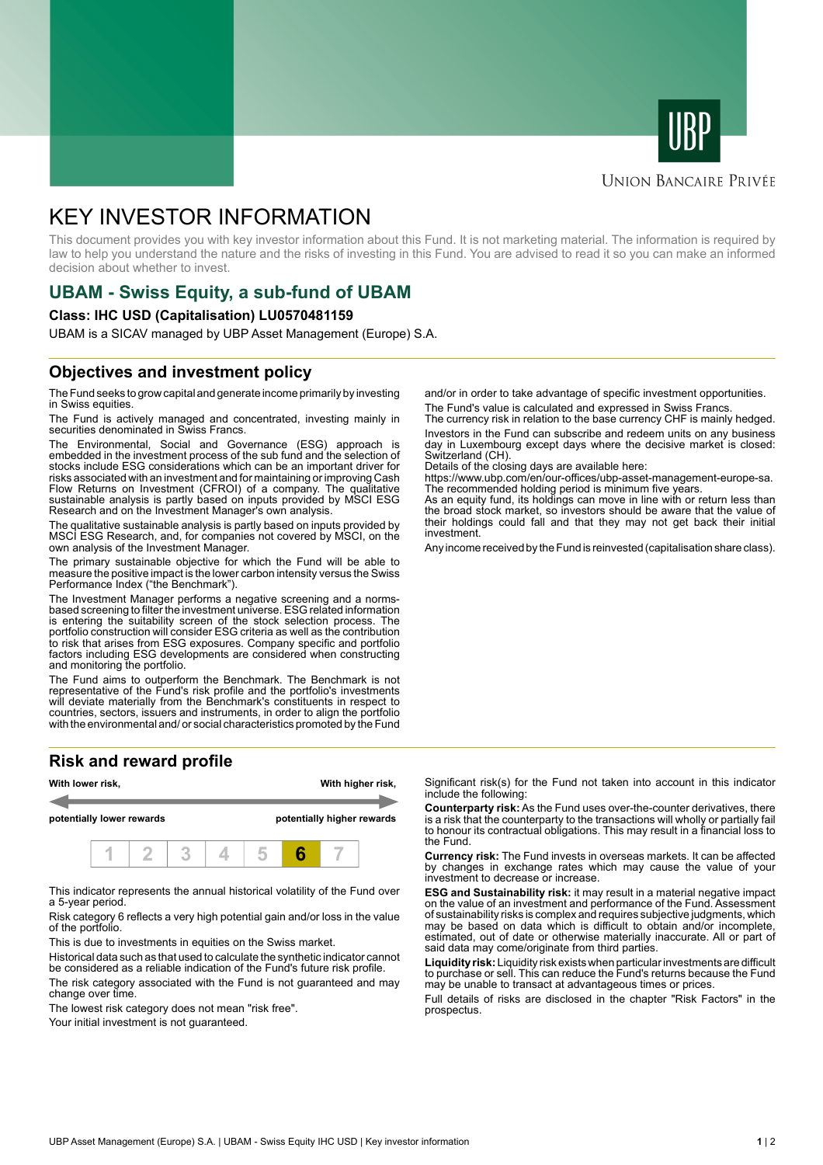



#### **UNION BANCAIRE PRIVÉE**

# KEY INVESTOR INFORMATION

This document provides you with key investor information about this Fund. It is not marketing material. The information is required by law to help you understand the nature and the risks of investing in this Fund. You are advised to read it so you can make an informed decision about whether to invest.

# **UBAM - Swiss Equity, a sub-fund of UBAM**

#### **Class: IHC USD (Capitalisation) LU0570481159**

UBAM is a SICAV managed by UBP Asset Management (Europe) S.A.

### **Objectives and investment policy**

The Fund seeks to grow capital and generate income primarily by investing in Swiss equities.

The Fund is actively managed and concentrated, investing mainly in securities denominated in Swiss Francs.

The Environmental, Social and Governance (ESG) approach is embedded in the investment process of the sub fund and the selection of stocks include ESG considerations which can be an important driver for risks associated with an investment and for maintaining or improving Cash Flow Returns on Investment (CFROI) of a company. The qualitative sustainable analysis is partly based on inputs provided by MSCI ESG Research and on the Investment Manager's own analysis.

The qualitative sustainable analysis is partly based on inputs provided by MSCI ESG Research, and, for companies not covered by MSCI, on the own analysis of the Investment Manager.

The primary sustainable objective for which the Fund will be able to measure the positive impact is the lower carbon intensity versus the Swiss Performance Index ("the Benchmark").

The Investment Manager performs a negative screening and a normsbased screening to filter the investment universe. ESG related information is entering the suitability screen of the stock selection process. The portfolio construction will consider ESG criteria as well as the contribution to risk that arises from ESG exposures. Company specific and portfolio factors including ESG developments are considered when constructing and monitoring the portfolio.

The Fund aims to outperform the Benchmark. The Benchmark is not representative of the Fund's risk profile and the portfolio's investments will deviate materially from the Benchmark's constituents in respect to countries, sectors, issuers and instruments, in order to align the portfolio with the environmental and/ or social characteristics promoted by the Fund

## **Risk and reward profile**



This indicator represents the annual historical volatility of the Fund over a 5-year period.

Risk category 6 reflects a very high potential gain and/or loss in the value of the portfolio.

This is due to investments in equities on the Swiss market.

Historical data such as that used to calculate the synthetic indicator cannot be considered as a reliable indication of the Fund's future risk profile. The risk category associated with the Fund is not guaranteed and may change over time.

The lowest risk category does not mean "risk free".

Your initial investment is not guaranteed.

and/or in order to take advantage of specific investment opportunities. The Fund's value is calculated and expressed in Swiss Francs.

The currency risk in relation to the base currency CHF is mainly hedged. Investors in the Fund can subscribe and redeem units on any business day in Luxembourg except days where the decisive market is closed: Switzerland (CH).

Details of the closing days are available here:

https://www.ubp.com/en/our-offices/ubp-asset-management-europe-sa. The recommended holding period is minimum five years.

As an equity fund, its holdings can move in line with or return less than the broad stock market, so investors should be aware that the value of their holdings could fall and that they may not get back their initial investment.

Any income received by the Fund is reinvested (capitalisation share class).

Significant risk(s) for the Fund not taken into account in this indicator include the following:

**Counterparty risk:** As the Fund uses over-the-counter derivatives, there is a risk that the counterparty to the transactions will wholly or partially fail to honour its contractual obligations. This may result in a financial loss to the Fund.

**Currency risk:** The Fund invests in overseas markets. It can be affected by changes in exchange rates which may cause the value of your investment to decrease or increase.

**ESG and Sustainability risk:** it may result in a material negative impact on the value of an investment and performance of the Fund. Assessment of sustainability risks is complex and requires subjective judgments, which may be based on data which is difficult to obtain and/or incomplete, estimated, out of date or otherwise materially inaccurate. All or part of said data may come/originate from third parties.

**Liquidity risk:** Liquidity risk exists when particular investments are difficult to purchase or sell. This can reduce the Fund's returns because the Fund may be unable to transact at advantageous times or prices.

Full details of risks are disclosed in the chapter "Risk Factors" in the prospectus.